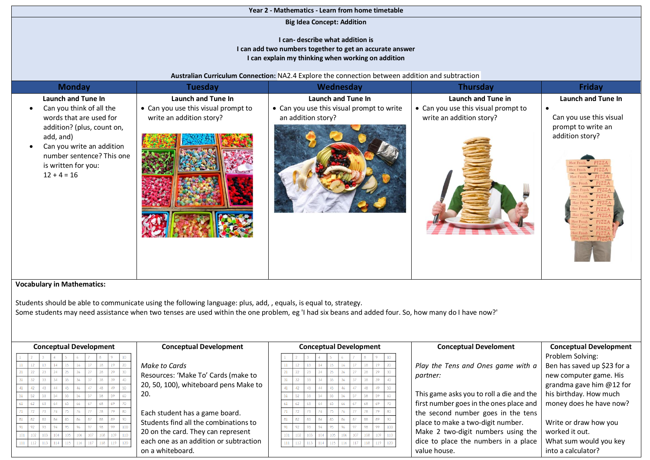## **Year 2 - Mathematics - Learn from home timetable**

**Big Idea Concept: Addition** 

## **I can- describe what addition is I can add two numbers together to get an accurate answer I can explain my thinking when working on addition**

## **Australian Curriculum Connection:** NA2.4 Explore the connection between addition and subtraction

| <b>Monday</b>                                                                                                                                                                                                                       | <b>Tuesday</b>                                                                        | Wednesday                                                                             | Thursday                                                                              | Friday                                                                                                     |
|-------------------------------------------------------------------------------------------------------------------------------------------------------------------------------------------------------------------------------------|---------------------------------------------------------------------------------------|---------------------------------------------------------------------------------------|---------------------------------------------------------------------------------------|------------------------------------------------------------------------------------------------------------|
| Launch and Tune In<br>Can you think of all the<br>$\bullet$<br>words that are used for<br>addition? (plus, count on,<br>add, and)<br>Can you write an addition<br>number sentence? This one<br>is written for you:<br>$12 + 4 = 16$ | Launch and Tune In<br>• Can you use this visual prompt to<br>write an addition story? | Launch and Tune In<br>• Can you use this visual prompt to write<br>an addition story? | Launch and Tune in<br>• Can you use this visual prompt to<br>write an addition story? | <b>Launch and Tune In</b><br>$\bullet$<br>Can you use this visual<br>prompt to write an<br>addition story? |

## **Vocabulary in Mathematics:**

Students should be able to communicate using the following language: plus, add, , equals, is equal to, strategy. Some students may need assistance when two tenses are used within the one problem, eg 'I had six beans and added four. So, how many do I have now?'

| <b>Conceptual Development</b><br><b>Conceptual Development</b> |  |  |  |  |  | <b>Conceptual Development</b> |  |                                        |  |  |                 |  |  |     |     | <b>Conceptual Development</b><br><b>Conceptual Develoment</b> |           |    |                                                                    |
|----------------------------------------------------------------|--|--|--|--|--|-------------------------------|--|----------------------------------------|--|--|-----------------|--|--|-----|-----|---------------------------------------------------------------|-----------|----|--------------------------------------------------------------------|
|                                                                |  |  |  |  |  |                               |  |                                        |  |  |                 |  |  |     |     |                                                               |           |    | Problem Solving:                                                   |
|                                                                |  |  |  |  |  |                               |  | Make to Cards                          |  |  |                 |  |  |     |     |                                                               |           |    | Ben has saved up \$23 for a<br>Play the Tens and Ones game with a  |
|                                                                |  |  |  |  |  |                               |  | Resources: 'Make To' Cards (make to    |  |  |                 |  |  |     |     |                                                               |           |    | new computer game. His<br>partner:                                 |
|                                                                |  |  |  |  |  |                               |  | 20, 50, 100), whiteboard pens Make to  |  |  |                 |  |  |     |     |                                                               |           |    | grandma gave him @12 for                                           |
|                                                                |  |  |  |  |  |                               |  |                                        |  |  |                 |  |  | 46  |     |                                                               |           | 50 | This game asks you to roll a die and the<br>his birthday. How much |
|                                                                |  |  |  |  |  |                               |  | 20.                                    |  |  |                 |  |  |     |     |                                                               |           |    |                                                                    |
|                                                                |  |  |  |  |  |                               |  |                                        |  |  |                 |  |  |     |     |                                                               |           |    | first number goes in the ones place and<br>money does he have now? |
|                                                                |  |  |  |  |  |                               |  | Each student has a game board.         |  |  |                 |  |  |     |     |                                                               |           |    | the second number goes in the tens                                 |
|                                                                |  |  |  |  |  | 87                            |  | Students find all the combinations to  |  |  | 82              |  |  | 86  | 87  | 88.                                                           | <b>RQ</b> | 90 | place to make a two-digit number.<br>Write or draw how you         |
|                                                                |  |  |  |  |  |                               |  |                                        |  |  | 02 <sub>1</sub> |  |  | 0£. | 07. |                                                               |           |    |                                                                    |
|                                                                |  |  |  |  |  |                               |  | 20 on the card. They can represent     |  |  |                 |  |  |     |     |                                                               |           |    | Make 2 two-digit numbers using the<br>worked it out.               |
|                                                                |  |  |  |  |  |                               |  | each one as an addition or subtraction |  |  |                 |  |  |     |     |                                                               |           |    | dice to place the numbers in a place<br>What sum would you key     |
|                                                                |  |  |  |  |  |                               |  | on a whiteboard.                       |  |  |                 |  |  |     |     |                                                               |           |    | into a calculator?<br>value house.                                 |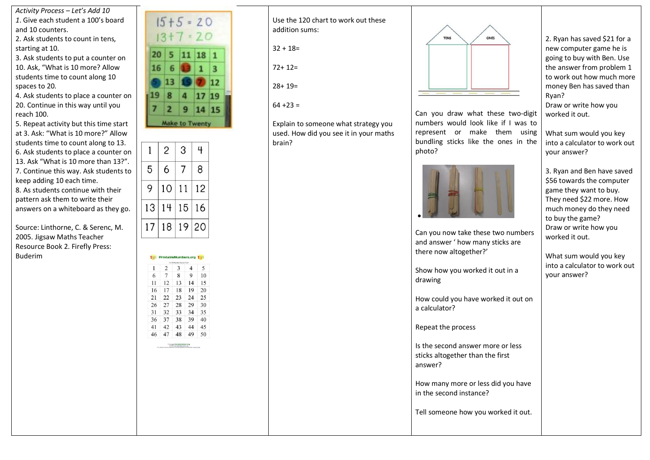*Activity Process – Let's Add 10 1*. Give each student a 100's board and 10 counters.

2. Ask students to count in tens, starting at 10.

3. Ask students to put a counter on 10. Ask, "What is 10 more? Allow students time to count along 10 spaces to 20.

4. Ask students to place a counter on 20. Continue in this way until you reach 100.

5. Repeat activity but this time start at 3. Ask: "What is 10 more?" Allow students time to count along to 13. 6. Ask students to place a counter on 13. Ask "What is 10 more than 13?". 7. Continue this way. Ask students to keep adding 10 each time. 8. As students continue with their pattern ask them to write their answers on a whiteboard as they go.

Source: Linthorne, C. & Serenc, M. 2005. Jigsaw Maths Teacher Resource Book 2. Firefly Press: Buderim



|    | $\overline{2}$ | 3  | 4  |
|----|----------------|----|----|
| 5  | 6              |    | 8  |
| 9  | 10             | 11 | 12 |
| 13 | 14             | 15 | 16 |
| 17 | 18             | 19 | 20 |

10% PrintableNumbers

12  $13$  $14$ 15

27 28 29  $30$ 

16 17 18 19 20

21 22 23 24  $25$ 

26 31 32 33

36 37 41 42 43 44 45 46 47 48 49 50

5  $\overline{9}$ 10

34 35 38 39 40

| Use the 120 chart to work out these |
|-------------------------------------|
| addition sums:                      |

 $32 + 18 =$ 

72+ 12=

 $28+ 19=$ 

 $64 + 23 =$ 

Explain to someone what strategy you used. How did you see it in your maths brain?



Can you draw what these two-digit numbers would look like if I was to represent or make them using bundling sticks like the ones in the photo?



Can you now take these two numbers and answer ' how many sticks are there now altogether?'

Show how you worked it out in a drawing

How could you have worked it out on a calculator?

Repeat the process

Is the second answer more or less sticks altogether than the first answer?

How many more or less did you have in the second instance?

Tell someone how you worked it out.

2. Ryan has saved \$21 for a new computer game he is going to buy with Ben. Use the answer from problem 1 to work out how much more money Ben has saved than Ryan? Draw or write how you worked it out.

What sum would you key into a calculator to work out your answer?

3. Ryan and Ben have saved \$56 towards the computer game they want to buy. They need \$22 more. How much money do they need to buy the game? Draw or write how you worked it out.

What sum would you key into a calculator to work out your answer?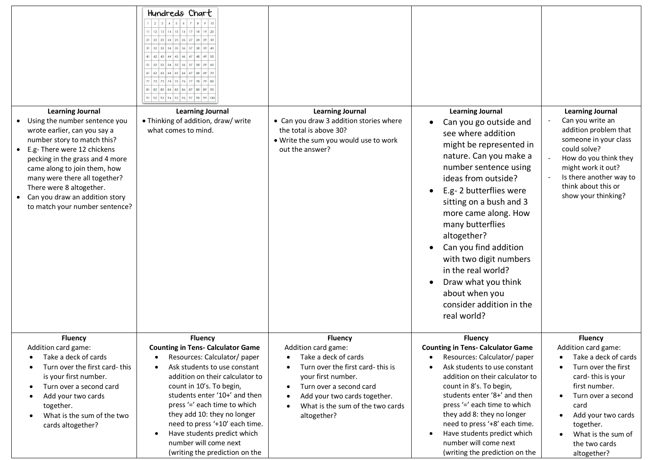|                                                                                                                                                                                                                                                                                                                                                                         | Hundreds Chart<br>$2$ 3 4 5 6 7 8 9 10<br>  12   13   14   15   16   17   18   19   20<br> 21 22 23 24 25 26 27 28 29 30<br>$32$ 33 34 35 36 37 38 39 40<br>$41 \mid 42 \mid 43 \mid 44 \mid 45 \mid 46 \mid 47 \mid 48 \mid 49 \mid 50$<br>$52$ 53 54 55 56 57 58 59 60<br>$62$ 63 64 65 66 67 68 69<br>72 73 74 75 76 77 78 79 80<br>81 82 83 84 85 86 87 88 89 90<br>91 92 93 94 95 96 97 98 99 100                                          |                                                                                                                                                                                                                                       |                                                                                                                                                                                                                                                                                                                                                                                                                                                           |                                                                                                                                                                                                                                                   |
|-------------------------------------------------------------------------------------------------------------------------------------------------------------------------------------------------------------------------------------------------------------------------------------------------------------------------------------------------------------------------|-------------------------------------------------------------------------------------------------------------------------------------------------------------------------------------------------------------------------------------------------------------------------------------------------------------------------------------------------------------------------------------------------------------------------------------------------|---------------------------------------------------------------------------------------------------------------------------------------------------------------------------------------------------------------------------------------|-----------------------------------------------------------------------------------------------------------------------------------------------------------------------------------------------------------------------------------------------------------------------------------------------------------------------------------------------------------------------------------------------------------------------------------------------------------|---------------------------------------------------------------------------------------------------------------------------------------------------------------------------------------------------------------------------------------------------|
| <b>Learning Journal</b><br>Using the number sentence you<br>$\bullet$<br>wrote earlier, can you say a<br>number story to match this?<br>E.g- There were 12 chickens<br>pecking in the grass and 4 more<br>came along to join them, how<br>many were there all together?<br>There were 8 altogether.<br>Can you draw an addition story<br>to match your number sentence? | <b>Learning Journal</b><br>• Thinking of addition, draw/ write<br>what comes to mind.                                                                                                                                                                                                                                                                                                                                                           | <b>Learning Journal</b><br>• Can you draw 3 addition stories where<br>the total is above 30?<br>. Write the sum you would use to work<br>out the answer?                                                                              | <b>Learning Journal</b><br>Can you go outside and<br>see where addition<br>might be represented in<br>nature. Can you make a<br>number sentence using<br>ideas from outside?<br>E.g-2 butterflies were<br>sitting on a bush and 3<br>more came along. How<br>many butterflies<br>altogether?<br>Can you find addition<br>with two digit numbers<br>in the real world?<br>Draw what you think<br>about when you<br>consider addition in the<br>real world? | <b>Learning Journal</b><br>Can you write an<br>addition problem that<br>someone in your class<br>could solve?<br>How do you think they<br>might work it out?<br>Is there another way to<br>think about this or<br>show your thinking?             |
| <b>Fluency</b><br>Addition card game:<br>Take a deck of cards<br>Turn over the first card-this<br>is your first number.<br>Turn over a second card<br>Add your two cards<br>together.<br>What is the sum of the two<br>cards altogether?                                                                                                                                | <b>Fluency</b><br><b>Counting in Tens- Calculator Game</b><br>Resources: Calculator/ paper<br>$\bullet$<br>Ask students to use constant<br>$\bullet$<br>addition on their calculator to<br>count in 10's. To begin,<br>students enter '10+' and then<br>press '=' each time to which<br>they add 10: they no longer<br>need to press '+10' each time.<br>Have students predict which<br>number will come next<br>(writing the prediction on the | <b>Fluency</b><br>Addition card game:<br>Take a deck of cards<br>Turn over the first card-this is<br>your first number.<br>Turn over a second card<br>Add your two cards together.<br>What is the sum of the two cards<br>altogether? | <b>Fluency</b><br><b>Counting in Tens- Calculator Game</b><br>Resources: Calculator/ paper<br>Ask students to use constant<br>addition on their calculator to<br>count in 8's. To begin,<br>students enter '8+' and then<br>press '=' each time to which<br>they add 8: they no longer<br>need to press '+8' each time.<br>Have students predict which<br>number will come next<br>(writing the prediction on the                                         | <b>Fluency</b><br>Addition card game:<br>Take a deck of cards<br>Turn over the first<br>card-this is your<br>first number.<br>Turn over a second<br>card<br>Add your two cards<br>together.<br>What is the sum of<br>the two cards<br>altogether? |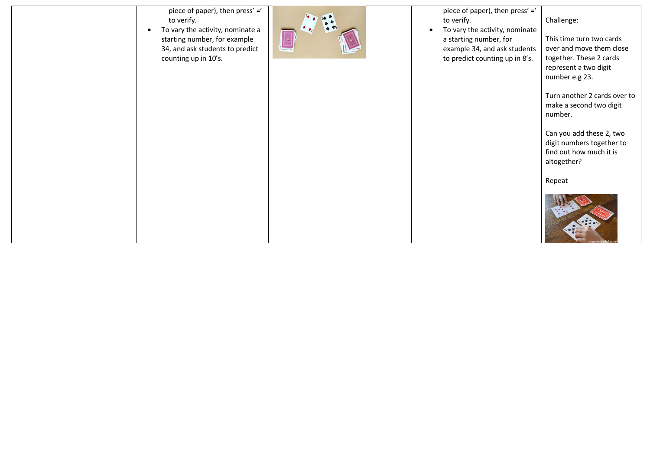| piece of paper), then press' ='<br>to verify.<br>To vary the activity, nominate a<br>$\bullet$<br>starting number, for example<br>34, and ask students to predict<br>counting up in 10's. | piece of paper), then press' ='<br>to verify.<br>To vary the activity, nominate<br>a starting number, for<br>example 34, and ask students<br>to predict counting up in 8's. | Challenge:<br>This time turn two cards<br>over and move them close<br>together. These 2 cards<br>represent a two digit<br>number e.g 23.<br>Turn another 2 cards over to<br>make a second two digit<br>number. |
|-------------------------------------------------------------------------------------------------------------------------------------------------------------------------------------------|-----------------------------------------------------------------------------------------------------------------------------------------------------------------------------|----------------------------------------------------------------------------------------------------------------------------------------------------------------------------------------------------------------|
|                                                                                                                                                                                           |                                                                                                                                                                             | Can you add these 2, two<br>digit numbers together to<br>find out how much it is<br>altogether?<br>Repeat                                                                                                      |
|                                                                                                                                                                                           |                                                                                                                                                                             |                                                                                                                                                                                                                |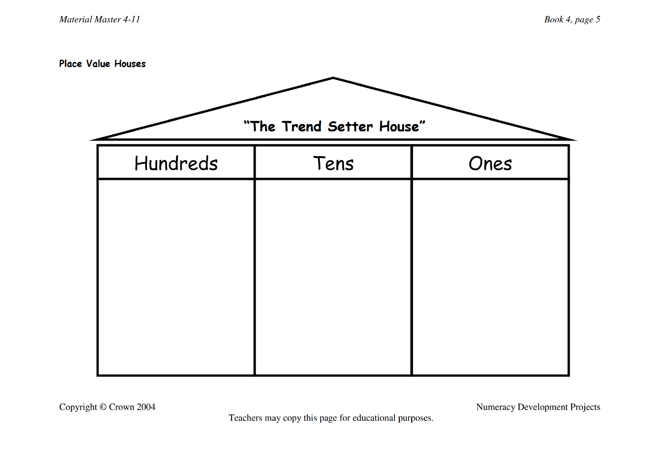**Place Value Houses** 

| "The Trend Setter House" |      |      |  |  |  |  |  |  |  |
|--------------------------|------|------|--|--|--|--|--|--|--|
| Hundreds                 | Tens | Ones |  |  |  |  |  |  |  |
|                          |      |      |  |  |  |  |  |  |  |
|                          |      |      |  |  |  |  |  |  |  |
|                          |      |      |  |  |  |  |  |  |  |
|                          |      |      |  |  |  |  |  |  |  |
|                          |      |      |  |  |  |  |  |  |  |
|                          |      |      |  |  |  |  |  |  |  |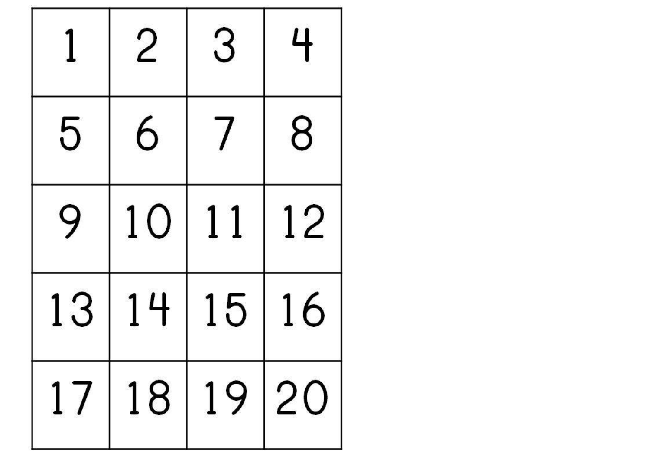|    |             | 3  | 4  |  |
|----|-------------|----|----|--|
| 5  | 6           |    | 8  |  |
| 9  | 10          | 11 | 12 |  |
| 13 | 14          | 15 | 16 |  |
|    | 17 18 19 20 |    |    |  |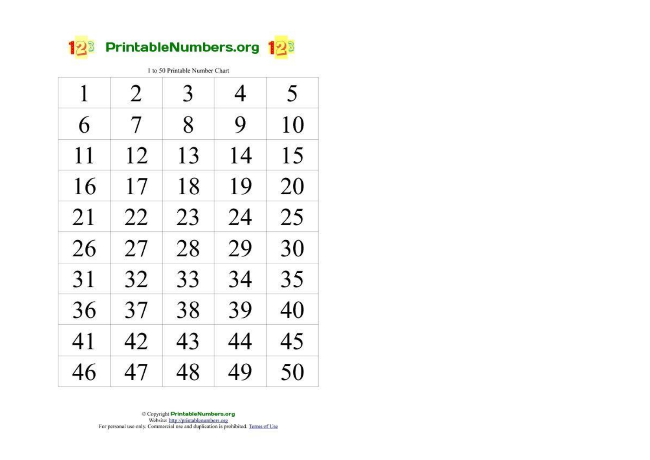

> C Copyright PrintableNumbers.org Website: http://printablenumbers.org For personal use only. Commercial use and duplication is prohibited. Terms of Use